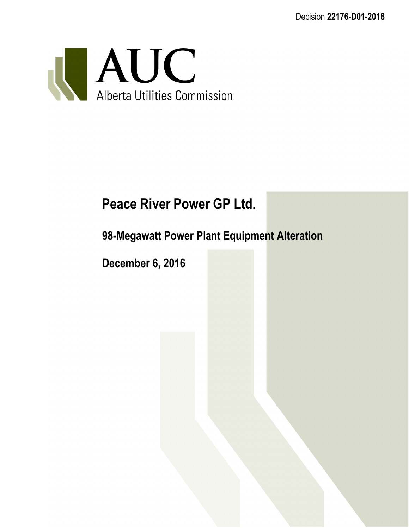Decision **22176-D01-2016**



# **Peace River Power GP Ltd.**

# **98-Megawatt Power Plant Equipment Alteration**

**December 6, 2016**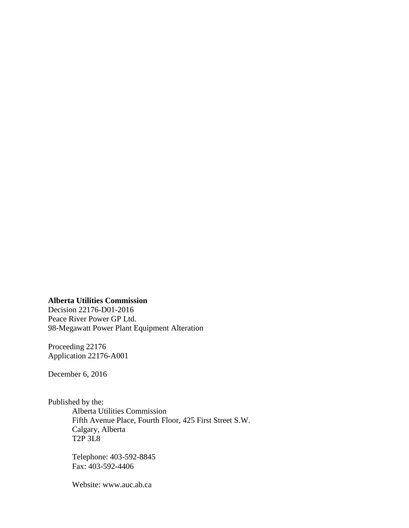#### **Alberta Utilities Commission**

Decision 22176-D01-2016 Peace River Power GP Ltd. 98-Megawatt Power Plant Equipment Alteration

Proceeding 22176 Application 22176-A001

December 6, 2016

Published by the:

Alberta Utilities Commission Fifth Avenue Place, Fourth Floor, 425 First Street S.W. Calgary, Alberta T2P 3L8

Telephone: 403-592-8845 Fax: 403-592-4406

Website: www.auc.ab.ca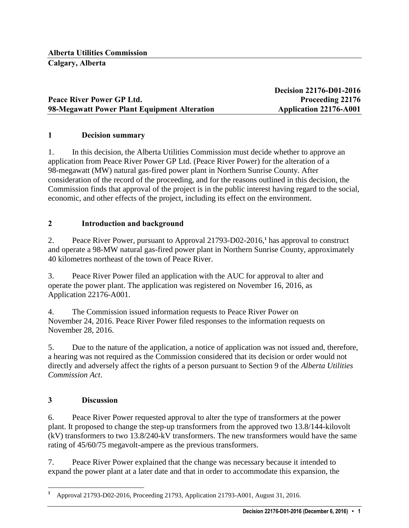|                                              | <b>Decision 22176-D01-2016</b> |
|----------------------------------------------|--------------------------------|
| Peace River Power GP Ltd.                    | <b>Proceeding 22176</b>        |
| 98-Megawatt Power Plant Equipment Alteration | <b>Application 22176-A001</b>  |

#### **1 Decision summary**

1. In this decision, the Alberta Utilities Commission must decide whether to approve an application from Peace River Power GP Ltd. (Peace River Power) for the alteration of a 98-megawatt (MW) natural gas-fired power plant in Northern Sunrise County. After consideration of the record of the proceeding, and for the reasons outlined in this decision, the Commission finds that approval of the project is in the public interest having regard to the social, economic, and other effects of the project, including its effect on the environment.

#### **2 Introduction and background**

2. Peace River Power, pursuant to Approval 21793-D02-2016, **1** has approval to construct and operate a 98-MW natural gas-fired power plant in Northern Sunrise County, approximately 40 kilometres northeast of the town of Peace River.

3. Peace River Power filed an application with the AUC for approval to alter and operate the power plant. The application was registered on November 16, 2016, as Application 22176-A001.

4. The Commission issued information requests to Peace River Power on November 24, 2016. Peace River Power filed responses to the information requests on November 28, 2016.

5. Due to the nature of the application, a notice of application was not issued and, therefore, a hearing was not required as the Commission considered that its decision or order would not directly and adversely affect the rights of a person pursuant to Section 9 of the *Alberta Utilities Commission Act*.

#### **3 Discussion**

 $\overline{a}$ 

6. Peace River Power requested approval to alter the type of transformers at the power plant. It proposed to change the step-up transformers from the approved two 13.8/144-kilovolt (kV) transformers to two 13.8/240-kV transformers. The new transformers would have the same rating of 45/60/75 megavolt-ampere as the previous transformers.

7. Peace River Power explained that the change was necessary because it intended to expand the power plant at a later date and that in order to accommodate this expansion, the

**<sup>1</sup>** Approval 21793-D02-2016, Proceeding 21793, Application 21793-A001, August 31, 2016.